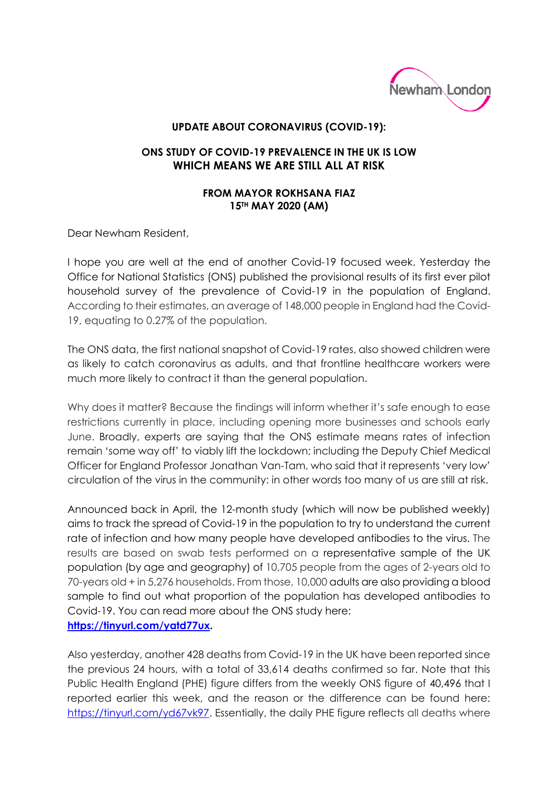

## **UPDATE ABOUT CORONAVIRUS (COVID-19):**

## **ONS STUDY OF COVID-19 PREVALENCE IN THE UK IS LOW WHICH MEANS WE ARE STILL ALL AT RISK**

## **FROM MAYOR ROKHSANA FIAZ 15TH MAY 2020 (AM)**

Dear Newham Resident,

I hope you are well at the end of another Covid-19 focused week. Yesterday the Office for National Statistics (ONS) published the provisional results of its first ever pilot household survey of the prevalence of Covid-19 in the population of England. According to their estimates, an average of 148,000 people in England had the Covid-19, equating to 0.27% of the population.

The ONS data, the first national snapshot of Covid-19 rates, also showed children were as likely to catch coronavirus as adults, and that frontline healthcare workers were much more likely to contract it than the general population.

Why does it matter? Because the findings will inform whether it's safe enough to ease restrictions currently in place, including opening more businesses and schools early June. Broadly, experts are saying that the ONS estimate means rates of infection remain 'some way off' to viably lift the lockdown; including the Deputy Chief Medical Officer for England Professor Jonathan Van-Tam, who said that it represents 'very low' circulation of the virus in the community: in other words too many of us are still at risk.

Announced back in April, the 12-month study (which will now be published weekly) aims to track the spread of Covid-19 in the population to try to understand the current rate of infection and how many people have developed antibodies to the virus. The results are based on swab tests performed on a representative sample of the UK population (by age and geography) of 10,705 people from the ages of 2-years old to 70-years old + in 5,276 households. From those, 10,000 adults are also providing a blood sample to find out what proportion of the population has developed antibodies to Covid-19. You can read more about the ONS study here: **[https://tinyurl.com/yatd77ux.](https://tinyurl.com/yatd77ux)** 

Also yesterday, another 428 deaths from Covid-19 in the UK have been reported since the previous 24 hours, with a total of 33,614 deaths confirmed so far. Note that this Public Health England (PHE) figure differs from the weekly ONS figure of 40,496 that I reported earlier this week, and the reason or the difference can be found here: [https://tinyurl.com/yd67vk97.](https://tinyurl.com/yd67vk97) Essentially, the daily PHE figure reflects all deaths where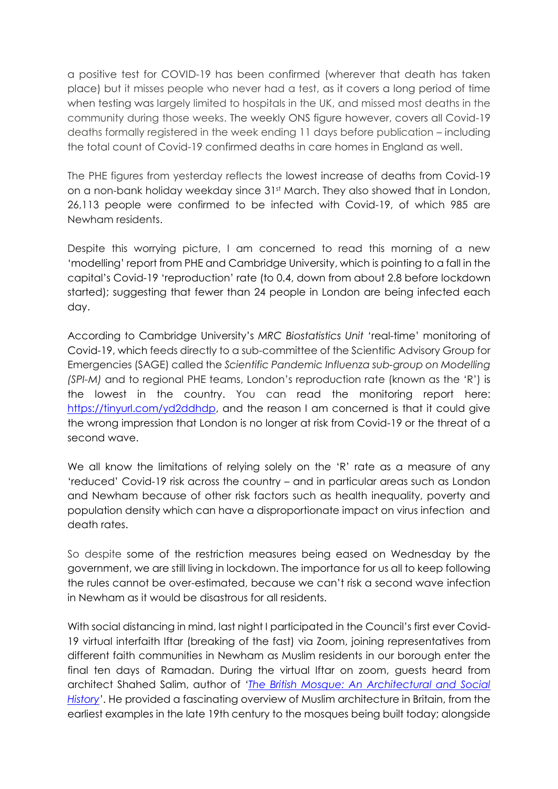a positive test for COVID-19 has been confirmed (wherever that death has taken place) but it misses people who never had a test, as it covers a long period of time when testing was largely limited to hospitals in the UK, and missed most deaths in the community during those weeks. The weekly ONS figure however, covers all Covid-19 deaths formally registered in the week ending 11 days before publication – including the total count of Covid-19 confirmed deaths in care homes in England as well.

The PHE figures from yesterday reflects the lowest increase of deaths from Covid-19 on a non-bank holiday weekday since 31st March. They also showed that in London, 26,113 people were confirmed to be infected with Covid-19, of which 985 are Newham residents.

Despite this worrying picture, I am concerned to read this morning of a new 'modelling' report from PHE and Cambridge University, which is pointing to a fall in the capital's Covid-19 'reproduction' rate (to 0.4, down from about 2.8 before lockdown started); suggesting that fewer than 24 people in London are being infected each day.

According to Cambridge University's *MRC Biostatistics Unit* 'real-time' monitoring of Covid-19, which feeds directly to a sub-committee of the Scientific Advisory Group for Emergencies (SAGE) called the *Scientific Pandemic Influenza sub-group on Modelling (SPI-M)* and to regional PHE teams, London's reproduction rate (known as the 'R') is the lowest in the country. You can read the monitoring report here: [https://tinyurl.com/yd2ddhdp,](https://tinyurl.com/yd2ddhdp) and the reason I am concerned is that it could give the wrong impression that London is no longer at risk from Covid-19 or the threat of a second wave.

We all know the limitations of relying solely on the 'R' rate as a measure of any 'reduced' Covid-19 risk across the country – and in particular areas such as London and Newham because of other risk factors such as health inequality, poverty and population density which can have a disproportionate impact on virus infection and death rates.

So despite some of the restriction measures being eased on Wednesday by the government, we are still living in lockdown. The importance for us all to keep following the rules cannot be over-estimated, because we can't risk a second wave infection in Newham as it would be disastrous for all residents.

With social distancing in mind, last night I participated in the Council's first ever Covid-19 virtual interfaith Iftar (breaking of the fast) via Zoom, joining representatives from different faith communities in Newham as Muslim residents in our borough enter the final ten days of Ramadan. During the virtual Iftar on zoom, guests heard from architect Shahed Salim, author of *'[The British Mosque: An Architectural and Social](https://www.theguardian.com/books/2018/mar/13/the-british-mosque-architectural-social-history-shahed-saleem-review)  [History](https://www.theguardian.com/books/2018/mar/13/the-british-mosque-architectural-social-history-shahed-saleem-review)'*. He provided a fascinating overview of Muslim architecture in Britain, from the earliest examples in the late 19th century to the mosques being built today; alongside